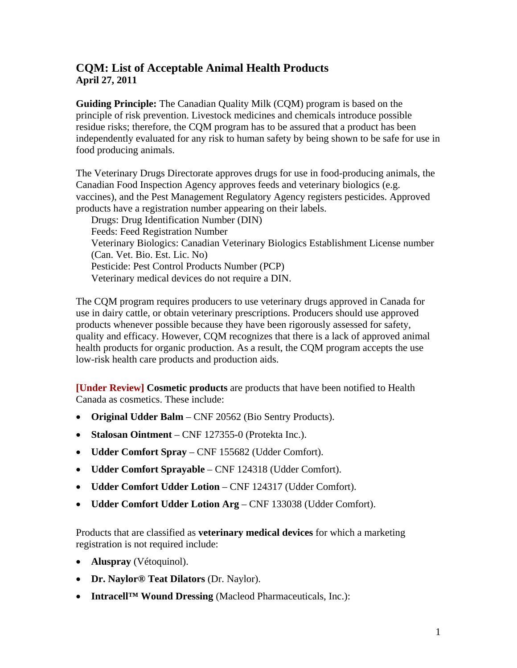## **CQM: List of Acceptable Animal Health Products April 27, 2011**

**Guiding Principle:** The Canadian Quality Milk (CQM) program is based on the principle of risk prevention. Livestock medicines and chemicals introduce possible residue risks; therefore, the CQM program has to be assured that a product has been independently evaluated for any risk to human safety by being shown to be safe for use in food producing animals.

The Veterinary Drugs Directorate approves drugs for use in food-producing animals, the Canadian Food Inspection Agency approves feeds and veterinary biologics (e.g. vaccines), and the Pest Management Regulatory Agency registers pesticides. Approved products have a registration number appearing on their labels.

Drugs: Drug Identification Number (DIN) Feeds: Feed Registration Number Veterinary Biologics: Canadian Veterinary Biologics Establishment License number (Can. Vet. Bio. Est. Lic. No) Pesticide: Pest Control Products Number (PCP) Veterinary medical devices do not require a DIN.

The CQM program requires producers to use veterinary drugs approved in Canada for use in dairy cattle, or obtain veterinary prescriptions. Producers should use approved products whenever possible because they have been rigorously assessed for safety, quality and efficacy. However, CQM recognizes that there is a lack of approved animal health products for organic production. As a result, the CQM program accepts the use low-risk health care products and production aids.

**[Under Review] Cosmetic products** are products that have been notified to Health Canada as cosmetics. These include:

- **Original Udder Balm** CNF 20562 (Bio Sentry Products).
- **Stalosan Ointment**  CNF 127355-0 (Protekta Inc.).
- **Udder Comfort Spray**  CNF 155682 (Udder Comfort).
- **Udder Comfort Sprayable**  CNF 124318 (Udder Comfort).
- **Udder Comfort Udder Lotion** CNF 124317 (Udder Comfort).
- **Udder Comfort Udder Lotion Arg** CNF 133038 (Udder Comfort).

Products that are classified as **veterinary medical devices** for which a marketing registration is not required include:

- **Aluspray** (Vétoquinol).
- **Dr. Naylor® Teat Dilators** (Dr. Naylor).
- **Intracell™ Wound Dressing** (Macleod Pharmaceuticals, Inc.):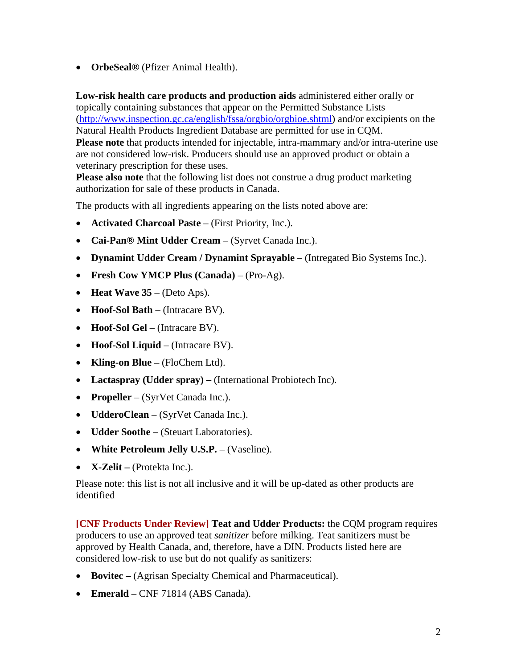• **OrbeSeal®** (Pfizer Animal Health).

**Low-risk health care products and production aids** administered either orally or topically containing substances that appear on the Permitted Substance Lists (http://www.inspection.gc.ca/english/fssa/orgbio/orgbioe.shtml) and/or excipients on the Natural Health Products Ingredient Database are permitted for use in CQM. **Please note** that products intended for injectable, intra-mammary and/or intra-uterine use are not considered low-risk. Producers should use an approved product or obtain a veterinary prescription for these uses.

**Please also note** that the following list does not construe a drug product marketing authorization for sale of these products in Canada.

The products with all ingredients appearing on the lists noted above are:

- **Activated Charcoal Paste** (First Priority, Inc.).
- **Cai-Pan® Mint Udder Cream** (Syrvet Canada Inc.).
- **Dynamint Udder Cream / Dynamint Sprayable** (Intregated Bio Systems Inc.).
- **Fresh Cow YMCP Plus (Canada)** (Pro-Ag).
- **Heat Wave 35** (Deto Aps).
- **Hoof-Sol Bath**  (Intracare BV).
- **Hoof-Sol Gel** (Intracare BV).
- **Hoof-Sol Liquid**  (Intracare BV).
- **Kling-on Blue** (FloChem Ltd).
- Lactaspray (Udder spray) (International Probiotech Inc).
- **Propeller** (SyrVet Canada Inc.).
- **UdderoClean**  (SyrVet Canada Inc.).
- **Udder Soothe** (Steuart Laboratories).
- **White Petroleum Jelly U.S.P.** (Vaseline).
- **X-Zelit** (Protekta Inc.).

Please note: this list is not all inclusive and it will be up-dated as other products are identified

**[CNF Products Under Review] Teat and Udder Products:** the CQM program requires producers to use an approved teat *sanitizer* before milking. Teat sanitizers must be approved by Health Canada, and, therefore, have a DIN. Products listed here are considered low-risk to use but do not qualify as sanitizers:

- **Bovitec** (Agrisan Specialty Chemical and Pharmaceutical).
- **Emerald** CNF 71814 (ABS Canada).